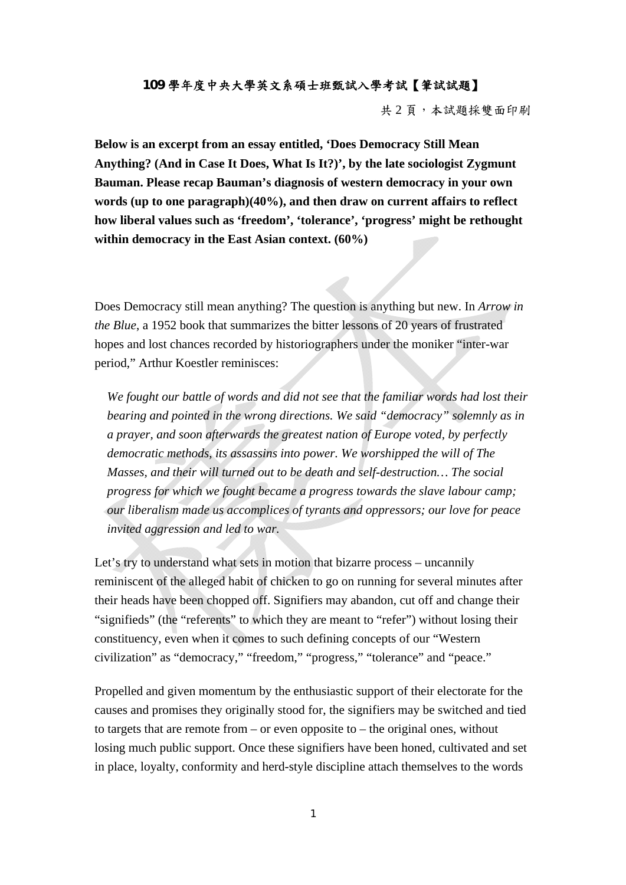## **109** 學年度中央大學英文系碩士班甄試入學考試【筆試試題】

共 2 頁,本試題採雙面印刷

**Below is an excerpt from an essay entitled, 'Does Democracy Still Mean Anything? (And in Case It Does, What Is It?)', by the late sociologist Zygmunt Bauman. Please recap Bauman's diagnosis of western democracy in your own words (up to one paragraph)(40%), and then draw on current affairs to reflect how liberal values such as 'freedom', 'tolerance', 'progress' might be rethought within democracy in the East Asian context. (60%)** 

Does Democracy still mean anything? The question is anything but new. In *Arrow in the Blue*, a 1952 book that summarizes the bitter lessons of 20 years of frustrated hopes and lost chances recorded by historiographers under the moniker "inter-war period," Arthur Koestler reminisces:

*We fought our battle of words and did not see that the familiar words had lost their bearing and pointed in the wrong directions. We said "democracy" solemnly as in a prayer, and soon afterwards the greatest nation of Europe voted, by perfectly democratic methods, its assassins into power. We worshipped the will of The Masses, and their will turned out to be death and self-destruction… The social progress for which we fought became a progress towards the slave labour camp; our liberalism made us accomplices of tyrants and oppressors; our love for peace invited aggression and led to war.* 

Let's try to understand what sets in motion that bizarre process – uncannily reminiscent of the alleged habit of chicken to go on running for several minutes after their heads have been chopped off. Signifiers may abandon, cut off and change their "signifieds" (the "referents" to which they are meant to "refer") without losing their constituency, even when it comes to such defining concepts of our "Western civilization" as "democracy," "freedom," "progress," "tolerance" and "peace."

Propelled and given momentum by the enthusiastic support of their electorate for the causes and promises they originally stood for, the signifiers may be switched and tied to targets that are remote from – or even opposite to – the original ones, without losing much public support. Once these signifiers have been honed, cultivated and set in place, loyalty, conformity and herd-style discipline attach themselves to the words